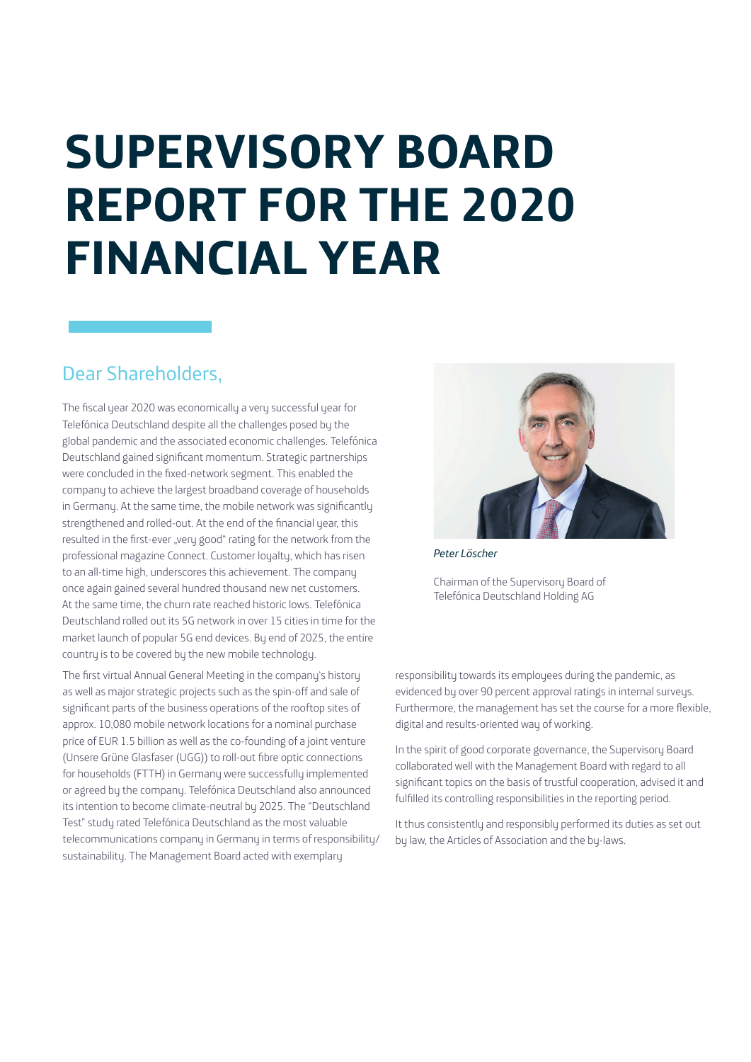# **SUPERVISORY BOARD REPORT FOR THE 2020 FINANCIAL YEAR**

# Dear Shareholders,

The fiscal year 2020 was economically a very successful year for Telefónica Deutschland despite all the challenges posed by the global pandemic and the associated economic challenges. Telefónica Deutschland gained significant momentum. Strategic partnerships were concluded in the fixed-network segment. This enabled the company to achieve the largest broadband coverage of households in Germany. At the same time, the mobile network was significantly strengthened and rolled-out. At the end of the financial year, this resulted in the first-ever "very good" rating for the network from the professional magazine Connect. Customer loyalty, which has risen to an all-time high, underscores this achievement. The company once again gained several hundred thousand new net customers. At the same time, the churn rate reached historic lows. Telefónica Deutschland rolled out its 5G network in over 15 cities in time for the market launch of popular 5G end devices. By end of 2025, the entire country is to be covered by the new mobile technology.

The first virtual Annual General Meeting in the company's history as well as major strategic projects such as the spin-off and sale of significant parts of the business operations of the rooftop sites of approx. 10,080 mobile network locations for a nominal purchase price of EUR 1.5 billion as well as the co-founding of a joint venture (Unsere Grüne Glasfaser (UGG)) to roll-out fibre optic connections for households (FTTH) in Germany were successfully implemented or agreed by the company. Telefónica Deutschland also announced its intention to become climate-neutral by 2025. The "Deutschland Test" study rated Telefónica Deutschland as the most valuable telecommunications company in Germany in terms of responsibility/ sustainability. The Management Board acted with exemplary



*Peter Löscher*

Chairman of the Supervisory Board of Telefónica Deutschland Holding AG

responsibility towards its employees during the pandemic, as evidenced by over 90 percent approval ratings in internal surveys. Furthermore, the management has set the course for a more flexible, digital and results-oriented way of working.

In the spirit of good corporate governance, the Supervisory Board collaborated well with the Management Board with regard to all significant topics on the basis of trustful cooperation, advised it and fulfilled its controlling responsibilities in the reporting period.

It thus consistently and responsibly performed its duties as set out by law, the Articles of Association and the by-laws.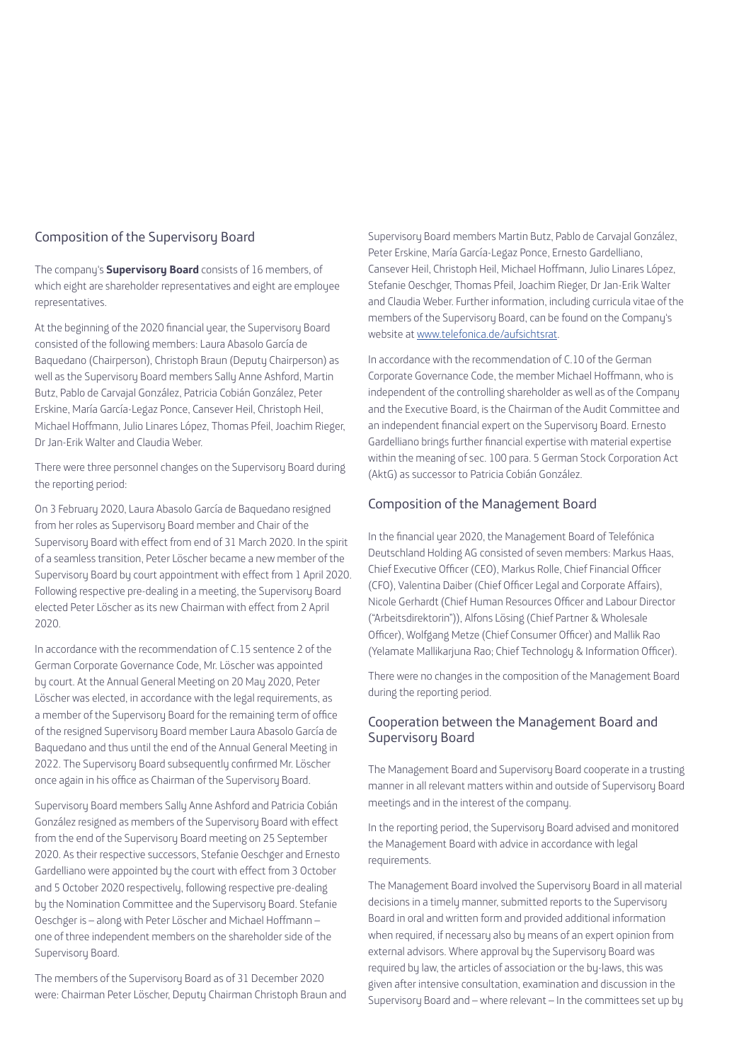#### Composition of the Supervisory Board

The company's **Supervisory Board** consists of 16 members, of which eight are shareholder representatives and eight are employee representatives.

At the beginning of the 2020 financial year, the Supervisory Board consisted of the following members: Laura Abasolo García de Baquedano (Chairperson), Christoph Braun (Deputy Chairperson) as well as the Supervisory Board members Sally Anne Ashford, Martin Butz, Pablo de Carvajal González, Patricia Cobián González, Peter Erskine, María García-Legaz Ponce, Cansever Heil, Christoph Heil, Michael Hoffmann, Julio Linares López, Thomas Pfeil, Joachim Rieger, Dr Jan-Erik Walter and Claudia Weber.

There were three personnel changes on the Supervisory Board during the reporting period:

On 3 February 2020, Laura Abasolo García de Baquedano resigned from her roles as Supervisory Board member and Chair of the Supervisory Board with effect from end of 31 March 2020. In the spirit of a seamless transition, Peter Löscher became a new member of the Supervisory Board by court appointment with effect from 1 April 2020. Following respective pre-dealing in a meeting, the Supervisory Board elected Peter Löscher as its new Chairman with effect from 2 April 2020.

In accordance with the recommendation of C.15 sentence 2 of the German Corporate Governance Code, Mr. Löscher was appointed by court. At the Annual General Meeting on 20 May 2020, Peter Löscher was elected, in accordance with the legal requirements, as a member of the Supervisory Board for the remaining term of office of the resigned Supervisory Board member Laura Abasolo García de Baquedano and thus until the end of the Annual General Meeting in 2022. The Supervisory Board subsequently confirmed Mr. Löscher once again in his office as Chairman of the Supervisory Board.

Supervisory Board members Sally Anne Ashford and Patricia Cobián González resigned as members of the Supervisory Board with effect from the end of the Supervisory Board meeting on 25 September 2020. As their respective successors, Stefanie Oeschger and Ernesto Gardelliano were appointed by the court with effect from 3 October and 5 October 2020 respectively, following respective pre-dealing by the Nomination Committee and the Supervisory Board. Stefanie Oeschger is – along with Peter Löscher and Michael Hoffmann – one of three independent members on the shareholder side of the Supervisory Board.

The members of the Supervisory Board as of 31 December 2020 were: Chairman Peter Löscher, Deputy Chairman Christoph Braun and Supervisory Board members Martin Butz, Pablo de Carvajal González, Peter Erskine, María García-Legaz Ponce, Ernesto Gardelliano, Cansever Heil, Christoph Heil, Michael Hoffmann, Julio Linares López, Stefanie Oeschger, Thomas Pfeil, Joachim Rieger, Dr Jan-Erik Walter and Claudia Weber. Further information, including curricula vitae of the members of the Supervisory Board, can be found on the Company's website at www.telefonica.de/aufsichtsrat.

In accordance with the recommendation of C.10 of the German Corporate Governance Code, the member Michael Hoffmann, who is independent of the controlling shareholder as well as of the Company and the Executive Board, is the Chairman of the Audit Committee and an independent financial expert on the Supervisory Board. Ernesto Gardelliano brings further financial expertise with material expertise within the meaning of sec. 100 para. 5 German Stock Corporation Act (AktG) as successor to Patricia Cobián González.

#### Composition of the Management Board

In the financial year 2020, the Management Board of Telefónica Deutschland Holding AG consisted of seven members: Markus Haas, Chief Executive Officer (CEO), Markus Rolle, Chief Financial Officer (CFO), Valentina Daiber (Chief Officer Legal and Corporate Affairs), Nicole Gerhardt (Chief Human Resources Officer and Labour Director ("Arbeitsdirektorin")), Alfons Lösing (Chief Partner & Wholesale Officer), Wolfgang Metze (Chief Consumer Officer) and Mallik Rao (Yelamate Mallikarjuna Rao; Chief Technology & Information Officer).

There were no changes in the composition of the Management Board during the reporting period.

# Cooperation between the Management Board and Supervisory Board

The Management Board and Supervisory Board cooperate in a trusting manner in all relevant matters within and outside of Supervisory Board meetings and in the interest of the company.

In the reporting period, the Supervisory Board advised and monitored the Management Board with advice in accordance with legal requirements.

The Management Board involved the Supervisory Board in all material decisions in a timely manner, submitted reports to the Supervisory Board in oral and written form and provided additional information when required, if necessary also by means of an expert opinion from external advisors. Where approval by the Supervisory Board was required by law, the articles of association or the by-laws, this was given after intensive consultation, examination and discussion in the Supervisory Board and – where relevant – In the committees set up by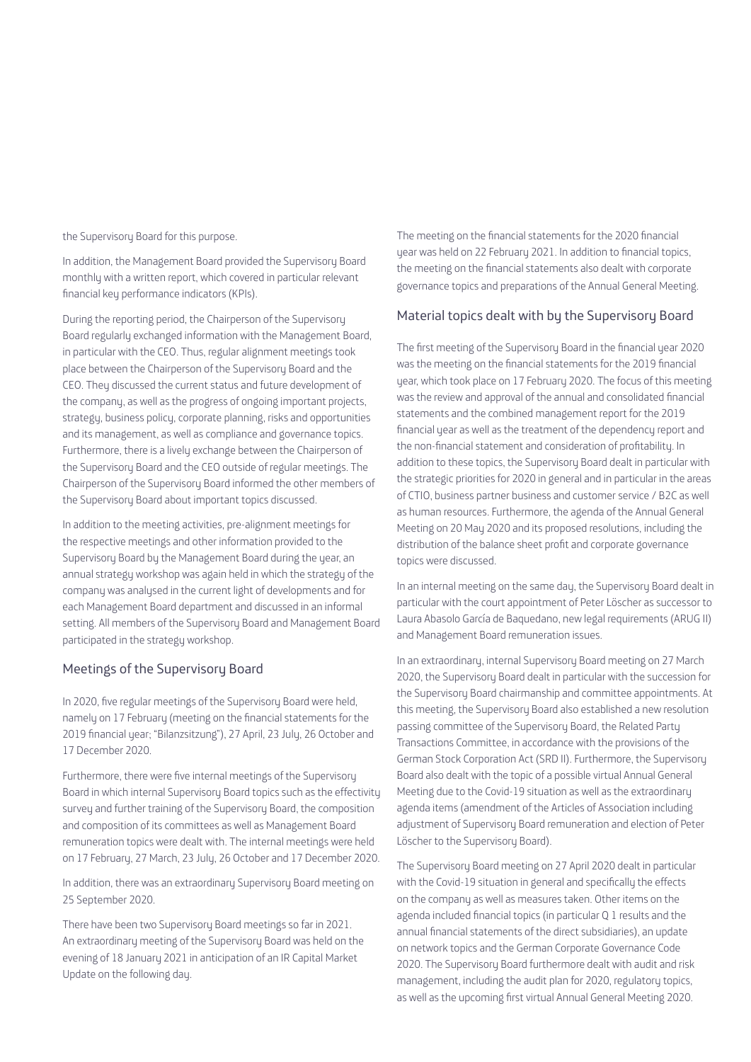the Supervisory Board for this purpose.

In addition, the Management Board provided the Supervisory Board monthly with a written report, which covered in particular relevant financial key performance indicators (KPIs).

During the reporting period, the Chairperson of the Supervisory Board regularly exchanged information with the Management Board, in particular with the CEO. Thus, regular alignment meetings took place between the Chairperson of the Supervisory Board and the CEO. They discussed the current status and future development of the company, as well as the progress of ongoing important projects, strategy, business policy, corporate planning, risks and opportunities and its management, as well as compliance and governance topics. Furthermore, there is a lively exchange between the Chairperson of the Supervisory Board and the CEO outside of regular meetings. The Chairperson of the Supervisory Board informed the other members of the Supervisory Board about important topics discussed.

In addition to the meeting activities, pre-alignment meetings for the respective meetings and other information provided to the Supervisory Board by the Management Board during the year, an annual strategy workshop was again held in which the strategy of the company was analysed in the current light of developments and for each Management Board department and discussed in an informal setting. All members of the Supervisory Board and Management Board participated in the strategy workshop.

### Meetings of the Supervisory Board

In 2020, five regular meetings of the Supervisory Board were held, namely on 17 February (meeting on the financial statements for the 2019 financial year; "Bilanzsitzung"), 27 April, 23 July, 26 October and 17 December 2020.

Furthermore, there were five internal meetings of the Supervisory Board in which internal Supervisory Board topics such as the effectivity survey and further training of the Supervisory Board, the composition and composition of its committees as well as Management Board remuneration topics were dealt with. The internal meetings were held on 17 February, 27 March, 23 July, 26 October and 17 December 2020.

In addition, there was an extraordinary Supervisory Board meeting on 25 September 2020.

There have been two Supervisory Board meetings so far in 2021. An extraordinary meeting of the Supervisory Board was held on the evening of 18 January 2021 in anticipation of an IR Capital Market Update on the following day.

The meeting on the financial statements for the 2020 financial year was held on 22 February 2021. In addition to financial topics, the meeting on the financial statements also dealt with corporate governance topics and preparations of the Annual General Meeting.

### Material topics dealt with by the Supervisory Board

The first meeting of the Supervisory Board in the financial year 2020 was the meeting on the financial statements for the 2019 financial year, which took place on 17 February 2020. The focus of this meeting was the review and approval of the annual and consolidated financial statements and the combined management report for the 2019 financial year as well as the treatment of the dependency report and the non-financial statement and consideration of profitability. In addition to these topics, the Supervisory Board dealt in particular with the strategic priorities for 2020 in general and in particular in the areas of CTIO, business partner business and customer service / B2C as well as human resources. Furthermore, the agenda of the Annual General Meeting on 20 May 2020 and its proposed resolutions, including the distribution of the balance sheet profit and corporate governance topics were discussed.

In an internal meeting on the same day, the Supervisory Board dealt in particular with the court appointment of Peter Löscher as successor to Laura Abasolo García de Baquedano, new legal requirements (ARUG II) and Management Board remuneration issues.

In an extraordinary, internal Supervisory Board meeting on 27 March 2020, the Supervisory Board dealt in particular with the succession for the Supervisory Board chairmanship and committee appointments. At this meeting, the Supervisory Board also established a new resolution passing committee of the Supervisory Board, the Related Party Transactions Committee, in accordance with the provisions of the German Stock Corporation Act (SRD II). Furthermore, the Supervisory Board also dealt with the topic of a possible virtual Annual General Meeting due to the Covid-19 situation as well as the extraordinary agenda items (amendment of the Articles of Association including adjustment of Supervisory Board remuneration and election of Peter Löscher to the Supervisory Board).

The Supervisory Board meeting on 27 April 2020 dealt in particular with the Covid-19 situation in general and specifically the effects on the company as well as measures taken. Other items on the agenda included financial topics (in particular Q 1 results and the annual financial statements of the direct subsidiaries), an update on network topics and the German Corporate Governance Code 2020. The Supervisory Board furthermore dealt with audit and risk management, including the audit plan for 2020, regulatory topics, as well as the upcoming first virtual Annual General Meeting 2020.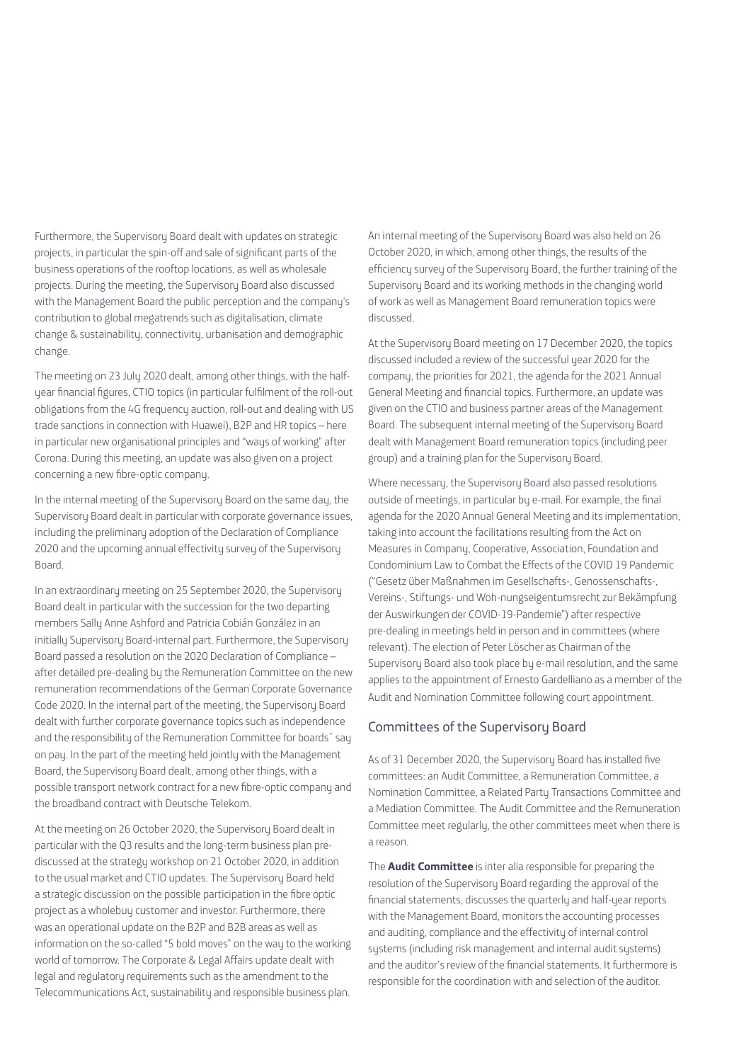Furthermore, the Supervisory Board dealt with updates on strategic projects, in particular the spin-off and sale of significant parts of the business operations of the rooftop locations, as well as wholesale projects. During the meeting, the Supervisory Board also discussed with the Management Board the public perception and the company's contribution to global megatrends such as digitalisation, climate change & sustainability, connectivity, urbanisation and demographic change.

The meeting on 23 July 2020 dealt, among other things, with the halfyear financial figures, CTIO topics (in particular fulfilment of the roll-out obligations from the 4G frequency auction, roll-out and dealing with US trade sanctions in connection with Huawei), B2P and HR topics – here in particular new organisational principles and "ways of working" after Corona. During this meeting, an update was also given on a project concerning a new fibre-optic company.

In the internal meeting of the Supervisory Board on the same day, the Supervisory Board dealt in particular with corporate governance issues, including the preliminary adoption of the Declaration of Compliance 2020 and the upcoming annual effectivity survey of the Supervisory Board.

In an extraordinary meeting on 25 September 2020, the Supervisory Board dealt in particular with the succession for the two departing members Sally Anne Ashford and Patricia Cobián González in an initially Supervisory Board-internal part. Furthermore, the Supervisory Board passed a resolution on the 2020 Declaration of Compliance – after detailed pre-dealing by the Remuneration Committee on the new remuneration recommendations of the German Corporate Governance Code 2020. In the internal part of the meeting, the Supervisory Board dealt with further corporate governance topics such as independence and the responsibility of the Remuneration Committee for boards´ say on pay. In the part of the meeting held jointly with the Management Board, the Supervisory Board dealt, among other things, with a possible transport network contract for a new fibre-optic company and the broadband contract with Deutsche Telekom.

At the meeting on 26 October 2020, the Supervisory Board dealt in particular with the Q3 results and the long-term business plan prediscussed at the strategy workshop on 21 October 2020, in addition to the usual market and CTIO updates. The Supervisory Board held a strategic discussion on the possible participation in the fibre optic project as a wholebuy customer and investor. Furthermore, there was an operational update on the B2P and B2B areas as well as information on the so-called "5 bold moves" on the way to the working world of tomorrow. The Corporate & Legal Affairs update dealt with legal and regulatory requirements such as the amendment to the Telecommunications Act, sustainability and responsible business plan.

An internal meeting of the Supervisory Board was also held on 26 October 2020, in which, among other things, the results of the efficiency survey of the Supervisory Board, the further training of the Supervisory Board and its working methods in the changing world of work as well as Management Board remuneration topics were discussed.

At the Supervisory Board meeting on 17 December 2020, the topics discussed included a review of the successful year 2020 for the company, the priorities for 2021, the agenda for the 2021 Annual General Meeting and financial topics. Furthermore, an update was given on the CTIO and business partner areas of the Management Board. The subsequent internal meeting of the Supervisory Board dealt with Management Board remuneration topics (including peer group) and a training plan for the Supervisory Board.

Where necessary, the Supervisory Board also passed resolutions outside of meetings, in particular by e-mail. For example, the final agenda for the 2020 Annual General Meeting and its implementation, taking into account the facilitations resulting from the Act on Measures in Company, Cooperative, Association, Foundation and Condominium Law to Combat the Effects of the COVID 19 Pandemic ("Gesetz über Maßnahmen im Gesellschafts-, Genossenschafts-, Vereins-, Stiftungs- und Woh-nungseigentumsrecht zur Bekämpfung der Auswirkungen der COVID-19-Pandemie") after respective pre-dealing in meetings held in person and in committees (where relevant). The election of Peter Löscher as Chairman of the Supervisory Board also took place by e-mail resolution, and the same applies to the appointment of Ernesto Gardelliano as a member of the Audit and Nomination Committee following court appointment.

# Committees of the Supervisory Board

As of 31 December 2020, the Supervisory Board has installed five committees: an Audit Committee, a Remuneration Committee, a Nomination Committee, a Related Party Transactions Committee and a Mediation Committee. The Audit Committee and the Remuneration Committee meet regularly, the other committees meet when there is a reason.

The **Audit Committee** is inter alia responsible for preparing the resolution of the Supervisory Board regarding the approval of the financial statements, discusses the quarterly and half-year reports with the Management Board, monitors the accounting processes and auditing, compliance and the effectivity of internal control sustems (including risk management and internal audit sustems) and the auditor's review of the financial statements. It furthermore is responsible for the coordination with and selection of the auditor.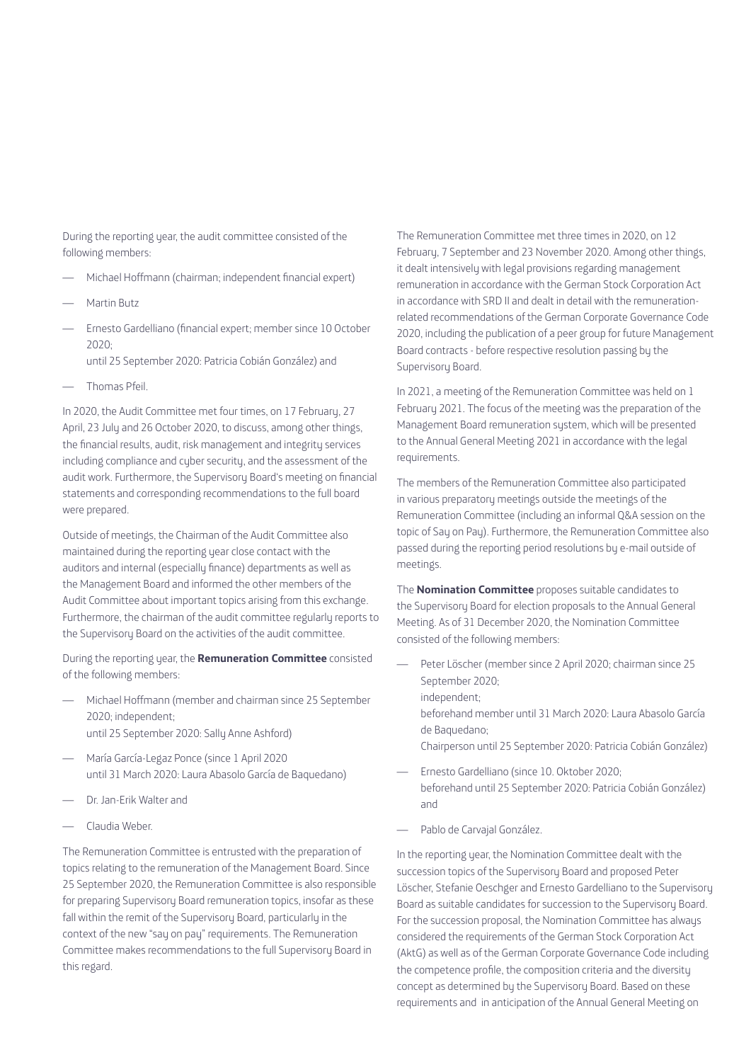During the reporting year, the audit committee consisted of the following members:

- Michael Hoffmann (chairman; independent financial expert)
- Martin Butz
- Ernesto Gardelliano (financial expert; member since 10 October  $2020$ 
	- until 25 September 2020: Patricia Cobián González) and
- Thomas Pfeil.

In 2020, the Audit Committee met four times, on 17 February, 27 April, 23 July and 26 October 2020, to discuss, among other things, the financial results, audit, risk management and integrity services including compliance and cyber security, and the assessment of the audit work. Furthermore, the Supervisory Board's meeting on financial statements and corresponding recommendations to the full board were prepared.

Outside of meetings, the Chairman of the Audit Committee also maintained during the reporting year close contact with the auditors and internal (especially finance) departments as well as the Management Board and informed the other members of the Audit Committee about important topics arising from this exchange. Furthermore, the chairman of the audit committee regularly reports to the Supervisory Board on the activities of the audit committee.

During the reporting year, the **Remuneration Committee** consisted of the following members:

- Michael Hoffmann (member and chairman since 25 September 2020; independent; until 25 September 2020: Sally Anne Ashford)
- María García-Legaz Ponce (since 1 April 2020 until 31 March 2020: Laura Abasolo García de Baquedano)
- Dr. Jan-Erik Walter and
- Claudia Weber.

The Remuneration Committee is entrusted with the preparation of topics relating to the remuneration of the Management Board. Since 25 September 2020, the Remuneration Committee is also responsible for preparing Supervisory Board remuneration topics, insofar as these fall within the remit of the Supervisory Board, particularly in the context of the new "say on pay" requirements. The Remuneration Committee makes recommendations to the full Supervisory Board in this regard.

The Remuneration Committee met three times in 2020, on 12 February, 7 September and 23 November 2020. Among other things, it dealt intensively with legal provisions regarding management remuneration in accordance with the German Stock Corporation Act in accordance with SRD II and dealt in detail with the remunerationrelated recommendations of the German Corporate Governance Code 2020, including the publication of a peer group for future Management Board contracts - before respective resolution passing by the Supervisory Board.

In 2021, a meeting of the Remuneration Committee was held on 1 February 2021. The focus of the meeting was the preparation of the Management Board remuneration system, which will be presented to the Annual General Meeting 2021 in accordance with the legal requirements.

The members of the Remuneration Committee also participated in various preparatory meetings outside the meetings of the Remuneration Committee (including an informal Q&A session on the topic of Say on Pay). Furthermore, the Remuneration Committee also passed during the reporting period resolutions by e-mail outside of meetings.

The **Nomination Committee** proposes suitable candidates to the Supervisory Board for election proposals to the Annual General Meeting. As of 31 December 2020, the Nomination Committee consisted of the following members:

- Peter Löscher (member since 2 April 2020; chairman since 25 September 2020; independent; beforehand member until 31 March 2020: Laura Abasolo García de Baquedano; Chairperson until 25 September 2020: Patricia Cobián González)
- Ernesto Gardelliano (since 10. Oktober 2020; beforehand until 25 September 2020: Patricia Cobián González) and
- Pablo de Carvajal González.

In the reporting year, the Nomination Committee dealt with the succession topics of the Supervisory Board and proposed Peter Löscher, Stefanie Oeschger and Ernesto Gardelliano to the Supervisory Board as suitable candidates for succession to the Supervisory Board. For the succession proposal, the Nomination Committee has always considered the requirements of the German Stock Corporation Act (AktG) as well as of the German Corporate Governance Code including the competence profile, the composition criteria and the diversity concept as determined by the Supervisory Board. Based on these requirements and in anticipation of the Annual General Meeting on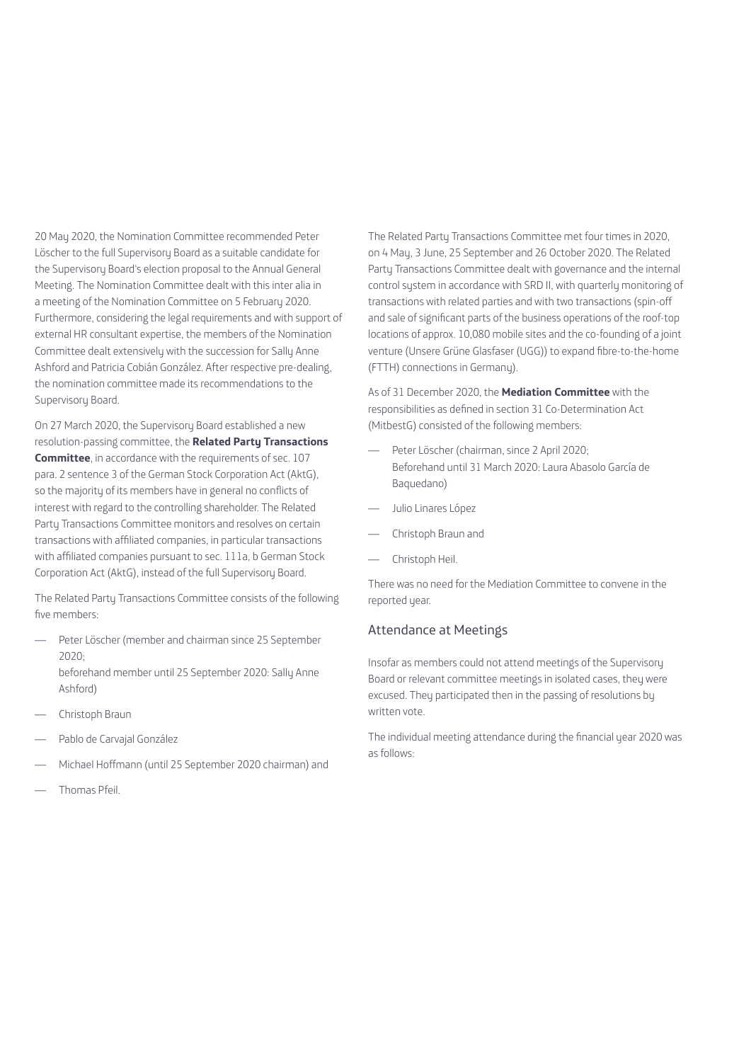20 May 2020, the Nomination Committee recommended Peter Löscher to the full Supervisory Board as a suitable candidate for the Supervisory Board's election proposal to the Annual General Meeting. The Nomination Committee dealt with this inter alia in a meeting of the Nomination Committee on 5 February 2020. Furthermore, considering the legal requirements and with support of external HR consultant expertise, the members of the Nomination Committee dealt extensively with the succession for Sally Anne Ashford and Patricia Cobián González. After respective pre-dealing, the nomination committee made its recommendations to the Supervisory Board.

On 27 March 2020, the Supervisory Board established a new resolution-passing committee, the **Related Party Transactions Committee**, in accordance with the requirements of sec. 107 para. 2 sentence 3 of the German Stock Corporation Act (AktG), so the majority of its members have in general no conflicts of interest with regard to the controlling shareholder. The Related Party Transactions Committee monitors and resolves on certain transactions with affiliated companies, in particular transactions with affiliated companies pursuant to sec. 111a, b German Stock Corporation Act (AktG), instead of the full Supervisory Board.

The Related Party Transactions Committee consists of the following five members:

- Peter Löscher (member and chairman since 25 September  $2020$ beforehand member until 25 September 2020: Sally Anne Ashford)
- Christoph Braun
- Pablo de Carvajal González
- Michael Hoffmann (until 25 September 2020 chairman) and
- Thomas Pfeil.

The Related Party Transactions Committee met four times in 2020, on 4 May, 3 June, 25 September and 26 October 2020. The Related Party Transactions Committee dealt with governance and the internal control system in accordance with SRD II, with quarterly monitoring of transactions with related parties and with two transactions (spin-off and sale of significant parts of the business operations of the roof-top locations of approx. 10,080 mobile sites and the co-founding of a joint venture (Unsere Grüne Glasfaser (UGG)) to expand fibre-to-the-home (FTTH) connections in Germany).

As of 31 December 2020, the **Mediation Committee** with the responsibilities as defined in section 31 Co-Determination Act (MitbestG) consisted of the following members:

- Peter Löscher (chairman, since 2 April 2020; Beforehand until 31 March 2020: Laura Abasolo García de Baquedano)
- Julio Linares López
- Christoph Braun and
- Christoph Heil.

There was no need for the Mediation Committee to convene in the reported year.

### Attendance at Meetings

Insofar as members could not attend meetings of the Supervisory Board or relevant committee meetings in isolated cases, they were excused. They participated then in the passing of resolutions by written vote.

The individual meeting attendance during the financial year 2020 was as follows: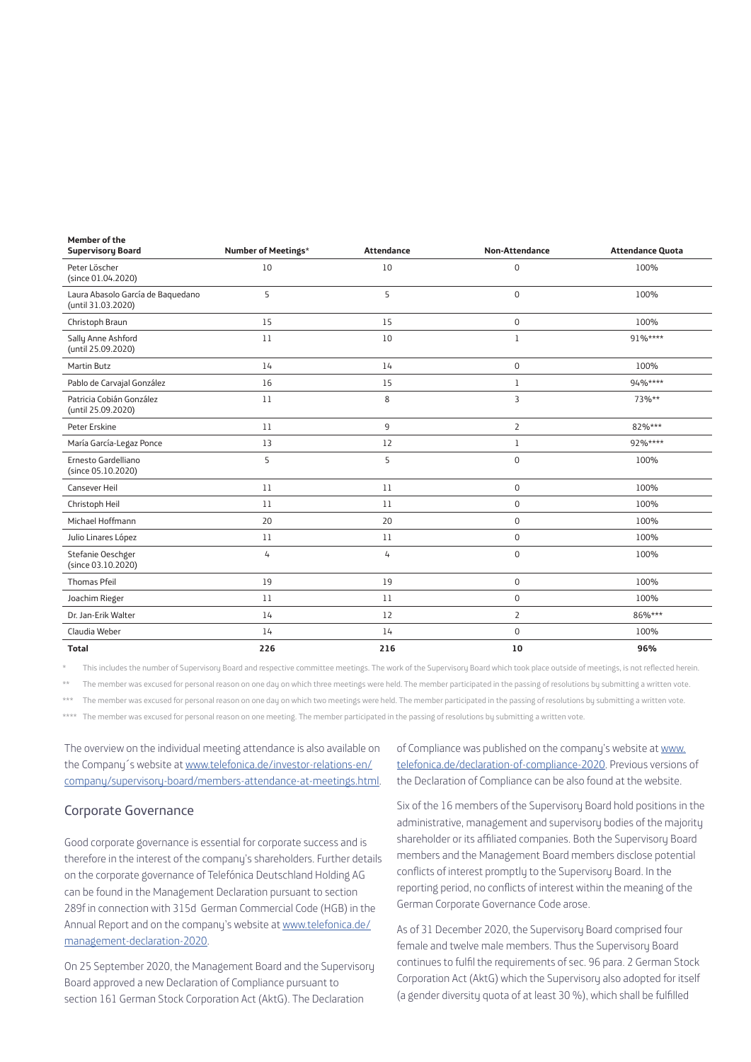| הובוווחבו חו מוב<br><b>Supervisory Board</b>            | Number of Meetings* | <b>Attendance</b> | <b>Non-Attendance</b> | <b>Attendance Quota</b> |
|---------------------------------------------------------|---------------------|-------------------|-----------------------|-------------------------|
| Peter Löscher<br>(since 01.04.2020)                     | 10                  | 10                | 0                     | 100%                    |
| Laura Abasolo García de Baquedano<br>(until 31.03.2020) | 5                   | 5                 | $\mathbf 0$           | 100%                    |
| Christoph Braun                                         | 15                  | 15                | 0                     | 100%                    |
| Sally Anne Ashford<br>(until 25.09.2020)                | 11                  | 10                | $\mathbf{1}$          | 91%****                 |
| <b>Martin Butz</b>                                      | 14                  | 14                | 0                     | 100%                    |
| Pablo de Carvajal González                              | 16                  | 15                | $\mathbf{1}$          | 94%****                 |
| Patricia Cobián González<br>(until 25.09.2020)          | 11                  | 8                 | 3                     | 73%**                   |
| Peter Erskine                                           | 11                  | 9                 | $\overline{2}$        | 82%***                  |
| María García-Legaz Ponce                                | 13                  | 12                | $\mathbf{1}$          | 92%****                 |
| Ernesto Gardelliano<br>(since 05.10.2020)               | 5                   | 5                 | $\mathbf 0$           | 100%                    |
| Cansever Heil                                           | 11                  | 11                | 0                     | 100%                    |
| Christoph Heil                                          | 11                  | 11                | 0                     | 100%                    |
| Michael Hoffmann                                        | 20                  | 20                | 0                     | 100%                    |
| Julio Linares López                                     | 11                  | 11                | $\mathsf 0$           | 100%                    |
| Stefanie Oeschger<br>(since 03.10.2020)                 | 4                   | 4                 | $\mathbf 0$           | 100%                    |
| Thomas Pfeil                                            | 19                  | 19                | 0                     | 100%                    |
| Joachim Rieger                                          | 11                  | 11                | $\mathsf 0$           | 100%                    |
| Dr. Jan-Erik Walter                                     | 14                  | 12                | $\overline{2}$        | 86%***                  |
| Claudia Weber                                           | 14                  | 14                | $\mathbf 0$           | 100%                    |
| <b>Total</b>                                            | 226                 | 216               | 10                    | 96%                     |

This includes the number of Supervisory Board and respective committee meetings. The work of the Supervisory Board which took place outside of meetings, is not reflected herein.

\*\* The member was excused for personal reason on one day on which three meetings were held. The member participated in the passing of resolutions by submitting a written vote.

The member was excused for personal reason on one day on which two meetings were held. The member participated in the passing of resolutions by submitting a written vote.

\*\*\*\* The member was excused for personal reason on one meeting. The member participated in the passing of resolutions by submitting a written vote.

The overview on the individual meeting attendance is also available on the Company´s website at www.telefonica.de/investor-relations-en/ company/supervisory-board/members-attendance-at-meetings.html.

#### Corporate Governance

**Member of the** 

Good corporate governance is essential for corporate success and is therefore in the interest of the company's shareholders. Further details on the corporate governance of Telefónica Deutschland Holding AG can be found in the Management Declaration pursuant to section 289f in connection with 315d German Commercial Code (HGB) in the Annual Report and on the company's website at www.telefonica.de/ management-declaration-2020.

On 25 September 2020, the Management Board and the Supervisory Board approved a new Declaration of Compliance pursuant to section 161 German Stock Corporation Act (AktG). The Declaration

of Compliance was published on the company's website at www. telefonica.de/declaration-of-compliance-2020. Previous versions of the Declaration of Compliance can be also found at the website.

Six of the 16 members of the Supervisory Board hold positions in the administrative, management and supervisory bodies of the majority shareholder or its affiliated companies. Both the Supervisory Board members and the Management Board members disclose potential conflicts of interest promptly to the Supervisory Board. In the reporting period, no conflicts of interest within the meaning of the German Corporate Governance Code arose.

As of 31 December 2020, the Supervisory Board comprised four female and twelve male members. Thus the Supervisory Board continues to fulfil the requirements of sec. 96 para. 2 German Stock Corporation Act (AktG) which the Supervisory also adopted for itself (a gender diversity quota of at least 30 %), which shall be fulfilled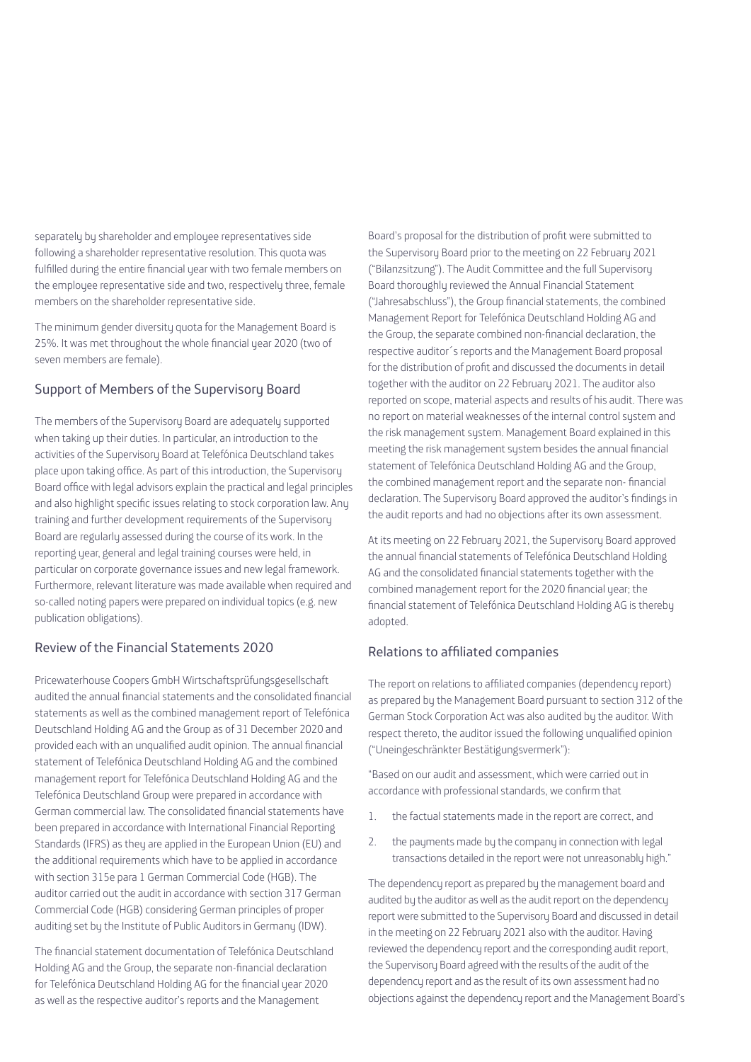separately by shareholder and employee representatives side following a shareholder representative resolution. This quota was fulfilled during the entire financial year with two female members on the employee representative side and two, respectively three, female members on the shareholder representative side.

The minimum gender diversity quota for the Management Board is 25%. It was met throughout the whole financial year 2020 (two of seven members are female).

# Support of Members of the Supervisory Board

The members of the Supervisory Board are adequately supported when taking up their duties. In particular, an introduction to the activities of the Supervisory Board at Telefónica Deutschland takes place upon taking office. As part of this introduction, the Supervisory Board office with legal advisors explain the practical and legal principles and also highlight specific issues relating to stock corporation law. Any training and further development requirements of the Supervisory Board are regularly assessed during the course of its work. In the reporting year, general and legal training courses were held, in particular on corporate governance issues and new legal framework. Furthermore, relevant literature was made available when required and so-called noting papers were prepared on individual topics (e.g. new publication obligations).

# Review of the Financial Statements 2020

Pricewaterhouse Coopers GmbH Wirtschaftsprüfungsgesellschaft audited the annual financial statements and the consolidated financial statements as well as the combined management report of Telefónica Deutschland Holding AG and the Group as of 31 December 2020 and provided each with an unqualified audit opinion. The annual financial statement of Telefónica Deutschland Holding AG and the combined management report for Telefónica Deutschland Holding AG and the Telefónica Deutschland Group were prepared in accordance with German commercial law. The consolidated financial statements have been prepared in accordance with International Financial Reporting Standards (IFRS) as they are applied in the European Union (EU) and the additional requirements which have to be applied in accordance with section 315e para 1 German Commercial Code (HGB). The auditor carried out the audit in accordance with section 317 German Commercial Code (HGB) considering German principles of proper auditing set by the Institute of Public Auditors in Germany (IDW).

The financial statement documentation of Telefónica Deutschland Holding AG and the Group, the separate non-financial declaration for Telefónica Deutschland Holding AG for the financial year 2020 as well as the respective auditor's reports and the Management

Board's proposal for the distribution of profit were submitted to the Supervisory Board prior to the meeting on 22 February 2021 ("Bilanzsitzung"). The Audit Committee and the full Supervisory Board thoroughly reviewed the Annual Financial Statement ("Jahresabschluss"), the Group financial statements, the combined Management Report for Telefónica Deutschland Holding AG and the Group, the separate combined non-financial declaration, the respective auditor´s reports and the Management Board proposal for the distribution of profit and discussed the documents in detail together with the auditor on 22 February 2021. The auditor also reported on scope, material aspects and results of his audit. There was no report on material weaknesses of the internal control system and the risk management system. Management Board explained in this meeting the risk management system besides the annual financial statement of Telefónica Deutschland Holding AG and the Group, the combined management report and the separate non- financial declaration. The Supervisory Board approved the auditor's findings in the audit reports and had no objections after its own assessment.

At its meeting on 22 February 2021, the Supervisory Board approved the annual financial statements of Telefónica Deutschland Holding AG and the consolidated financial statements together with the combined management report for the 2020 financial year; the financial statement of Telefónica Deutschland Holding AG is thereby adopted.

# Relations to affiliated companies

The report on relations to affiliated companies (dependency report) as prepared by the Management Board pursuant to section 312 of the German Stock Corporation Act was also audited by the auditor. With respect thereto, the auditor issued the following unqualified opinion ("Uneingeschränkter Bestätigungsvermerk"):

"Based on our audit and assessment, which were carried out in accordance with professional standards, we confirm that

- 1. the factual statements made in the report are correct, and
- 2. the payments made by the company in connection with legal transactions detailed in the report were not unreasonably high."

The dependency report as prepared by the management board and audited bu the auditor as well as the audit report on the dependency report were submitted to the Supervisory Board and discussed in detail in the meeting on 22 February 2021 also with the auditor. Having reviewed the dependency report and the corresponding audit report. the Supervisory Board agreed with the results of the audit of the dependency report and as the result of its own assessment had no objections against the dependency report and the Management Board's